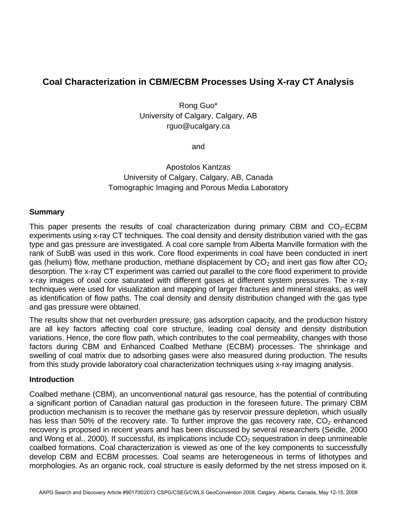# **Coal Characterization in CBM/ECBM Processes Using X-ray CT Analysis**

Rong Guo\* University of Calgary, Calgary, AB rguo@ucalgary.ca

and

## Apostolos Kantzas University of Calgary, Calgary, AB, Canada Tomographic Imaging and Porous Media Laboratory

#### **Summary**

This paper presents the results of coal characterization during primary CBM and  $CO<sub>2</sub>$ -ECBM experiments using x-ray CT techniques. The coal density and density distribution varied with the gas type and gas pressure are investigated. A coal core sample from Alberta Manville formation with the rank of SubB was used in this work. Core flood experiments in coal have been conducted in inert gas (helium) flow, methane production, methane displacement by  $CO<sub>2</sub>$  and inert gas flow after  $CO<sub>2</sub>$ desorption. The x-ray CT experiment was carried out parallel to the core flood experiment to provide x-ray images of coal core saturated with different gases at different system pressures. The x-ray techniques were used for visualization and mapping of larger fractures and mineral streaks, as well as identification of flow paths. The coal density and density distribution changed with the gas type and gas pressure were obtained.

The results show that net overburden pressure, gas adsorption capacity, and the production history are all key factors affecting coal core structure, leading coal density and density distribution variations. Hence, the core flow path, which contributes to the coal permeability, changes with those factors during CBM and Enhanced Coalbed Methane (ECBM) processes. The shrinkage and swelling of coal matrix due to adsorbing gases were also measured during production. The results from this study provide laboratory coal characterization techniques using x-ray imaging analysis.

#### **Introduction**

Coalbed methane (CBM), an unconventional natural gas resource, has the potential of contributing a significant portion of Canadian natural gas production in the foreseen future. The primary CBM production mechanism is to recover the methane gas by reservoir pressure depletion, which usually has less than 50% of the recovery rate. To further improve the gas recovery rate,  $CO<sub>2</sub>$  enhanced recovery is proposed in recent years and has been discussed by several researchers (Seidle, 2000 and Wong et al., 2000). If successful, its implications include  $CO<sub>2</sub>$  sequestration in deep unmineable coalbed formations. Coal characterization is viewed as one of the key components to successfully develop CBM and ECBM processes. Coal seams are heterogeneous in terms of lithotypes and morphologies. As an organic rock, coal structure is easily deformed by the net stress imposed on it.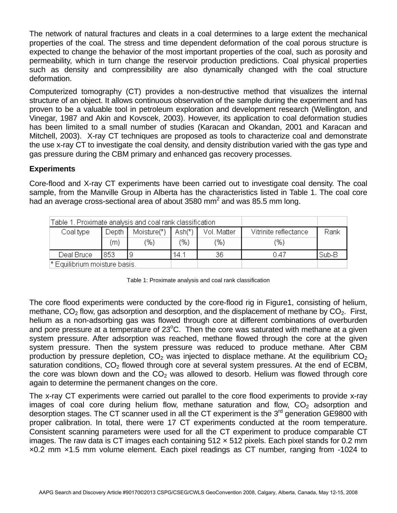The network of natural fractures and cleats in a coal determines to a large extent the mechanical properties of the coal. The stress and time dependent deformation of the coal porous structure is expected to change the behavior of the most important properties of the coal, such as porosity and permeability, which in turn change the reservoir production predictions. Coal physical properties such as density and compressibility are also dynamically changed with the coal structure deformation.

Computerized tomography (CT) provides a non-destructive method that visualizes the internal structure of an object. It allows continuous observation of the sample during the experiment and has proven to be a valuable tool in petroleum exploration and development research (Wellington, and Vinegar, 1987 and Akin and Kovscek, 2003). However, its application to coal deformation studies has been limited to a small number of studies (Karacan and Okandan, 2001 and Karacan and Mitchell, 2003). X-ray CT techniques are proposed as tools to characterize coal and demonstrate the use x-ray CT to investigate the coal density, and density distribution varied with the gas type and gas pressure during the CBM primary and enhanced gas recovery processes.

#### **Experiments**

Core-flood and X-ray CT experiments have been carried out to investigate coal density. The coal sample, from the Manville Group in Alberta has the characteristics listed in Table 1. The coal core had an average cross-sectional area of about 3580 mm<sup>2</sup> and was 85.5 mm long.

| Table 1. Proximate analysis and coal rank classification |       |             |          |             |                       |       |
|----------------------------------------------------------|-------|-------------|----------|-------------|-----------------------|-------|
| Coal type                                                | Depth | Moisture(*) | $Ash(*)$ | Vol. Matter | Vitrinite reflectance | Rank  |
|                                                          | (m)   | (%)         | (%)      | (%)         | (%)                   |       |
| Deal Bruce                                               | 853   |             | 14.1     | 36          | 0.47                  | Sub-B |
| * Equilibrium moisture basis.                            |       |             |          |             |                       |       |

Table 1: Proximate analysis and coal rank classification

The core flood experiments were conducted by the core-flood rig in Figure1, consisting of helium, methane,  $CO<sub>2</sub>$  flow, gas adsorption and desorption, and the displacement of methane by  $CO<sub>2</sub>$ . First, helium as a non-adsorbing gas was flowed through core at different combinations of overburden and pore pressure at a temperature of 23°C. Then the core was saturated with methane at a given system pressure. After adsorption was reached, methane flowed through the core at the given system pressure. Then the system pressure was reduced to produce methane. After CBM production by pressure depletion,  $CO<sub>2</sub>$  was injected to displace methane. At the equilibrium  $CO<sub>2</sub>$ saturation conditions,  $CO<sub>2</sub>$  flowed through core at several system pressures. At the end of ECBM, the core was blown down and the  $CO<sub>2</sub>$  was allowed to desorb. Helium was flowed through core again to determine the permanent changes on the core.

The x-ray CT experiments were carried out parallel to the core flood experiments to provide x-ray images of coal core during helium flow, methane saturation and flow,  $CO<sub>2</sub>$  adsorption and desorption stages. The CT scanner used in all the CT experiment is the  $3<sup>rd</sup>$  generation GE9800 with proper calibration. In total, there were 17 CT experiments conducted at the room temperature. Consistent scanning parameters were used for all the CT experiment to produce comparable CT images. The raw data is CT images each containing  $512 \times 512$  pixels. Each pixel stands for 0.2 mm ×0.2 mm ×1.5 mm volume element. Each pixel readings as CT number, ranging from -1024 to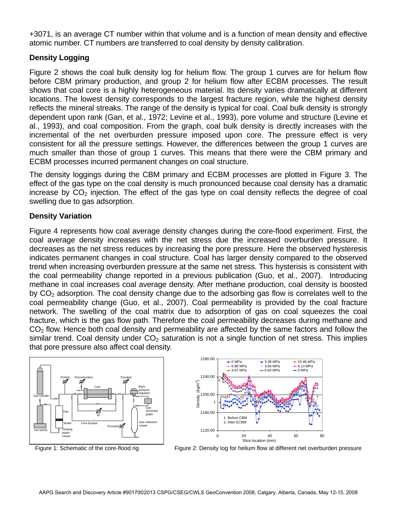+3071, is an average CT number within that volume and is a function of mean density and effective atomic number. CT numbers are transferred to coal density by density calibration.

### **Density Logging**

Figure 2 shows the coal bulk density log for helium flow. The group 1 curves are for helium flow before CBM primary production, and group 2 for helium flow after ECBM processes. The result shows that coal core is a highly heterogeneous material. Its density varies dramatically at different locations. The lowest density corresponds to the largest fracture region, while the highest density reflects the mineral streaks. The range of the density is typical for coal. Coal bulk density is strongly dependent upon rank (Gan, et al., 1972; Levine et al., 1993), pore volume and structure (Levine et al., 1993), and coal composition. From the graph, coal bulk density is directly increases with the incremental of the net overburden pressure imposed upon core. The pressure effect is very consistent for all the pressure settings. However, the differences between the group 1 curves are much smaller than those of group 1 curves. This means that there were the CBM primary and ECBM processes incurred permanent changes on coal structure.

The density loggings during the CBM primary and ECBM processes are plotted in Figure 3. The effect of the gas type on the coal density is much pronounced because coal density has a dramatic increase by  $CO<sub>2</sub>$  injection. The effect of the gas type on coal density reflects the degree of coal swelling due to gas adsorption.

### **Density Variation**

Figure 4 represents how coal average density changes during the core-flood experiment. First, the coal average density increases with the net stress due the increased overburden pressure. It decreases as the net stress reduces by increasing the pore pressure. Here the observed hysteresis indicates permanent changes in coal structure. Coal has larger density compared to the observed trend when increasing overburden pressure at the same net stress. This hysterisis is consistent with the coal permeability change reported in a previous publication (Guo, et al., 2007). Introducing methane in coal increases coal average density. After methane production, coal density is boosted by  $CO<sub>2</sub>$  adsorption. The coal density change due to the adsorbing gas flow is correlates well to the coal permeability change (Guo, et al., 2007). Coal permeability is provided by the coal fracture network. The swelling of the coal matrix due to adsorption of gas on coal squeezes the coal fracture, which is the gas flow path. Therefore the coal permeability decreases during methane and  $CO<sub>2</sub>$  flow. Hence both coal density and permeability are affected by the same factors and follow the similar trend. Coal density under  $CO<sub>2</sub>$  saturation is not a single function of net stress. This implies that pore pressure also affect coal density.





Figure 1: Schematic of the core-flood rig Figure 2: Density log for helium flow at different net overburden pressure